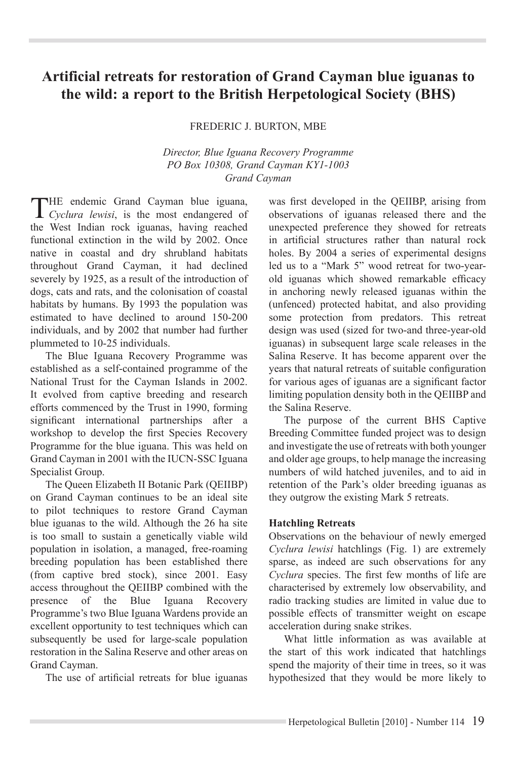# **Artificial retreats for restoration of Grand Cayman blue iguanas to the wild: a report to the British Herpetological Society (BHS)**

Frederic J. Burton, MBE

*Director, Blue Iguana Recovery Programme PO Box 10308, Grand Cayman KY1-1003 Grand Cayman*

The endemic Grand Cayman blue iguana, *Cyclura lewisi*, is the most endangered of the West Indian rock iguanas, having reached functional extinction in the wild by 2002. Once native in coastal and dry shrubland habitats throughout Grand Cayman, it had declined severely by 1925, as a result of the introduction of dogs, cats and rats, and the colonisation of coastal habitats by humans. By 1993 the population was estimated to have declined to around 150-200 individuals, and by 2002 that number had further plummeted to 10-25 individuals.

The Blue Iguana Recovery Programme was established as a self-contained programme of the National Trust for the Cayman Islands in 2002. It evolved from captive breeding and research efforts commenced by the Trust in 1990, forming significant international partnerships after a workshop to develop the first Species Recovery Programme for the blue iguana. This was held on Grand Cayman in 2001 with the IUCN-SSC Iguana Specialist Group.

The Queen Elizabeth II Botanic Park (QEIIBP) on Grand Cayman continues to be an ideal site to pilot techniques to restore Grand Cayman blue iguanas to the wild. Although the 26 ha site is too small to sustain a genetically viable wild population in isolation, a managed, free-roaming breeding population has been established there (from captive bred stock), since 2001. Easy access throughout the QEIIBP combined with the presence of the Blue Iguana Recovery Programme's two Blue Iguana Wardens provide an excellent opportunity to test techniques which can subsequently be used for large-scale population restoration in the Salina Reserve and other areas on Grand Cayman.

The use of artificial retreats for blue iguanas

was first developed in the QEIIBP, arising from observations of iguanas released there and the unexpected preference they showed for retreats in artificial structures rather than natural rock holes. By 2004 a series of experimental designs led us to a "Mark 5" wood retreat for two-yearold iguanas which showed remarkable efficacy in anchoring newly released iguanas within the (unfenced) protected habitat, and also providing some protection from predators. This retreat design was used (sized for two-and three-year-old iguanas) in subsequent large scale releases in the Salina Reserve. It has become apparent over the years that natural retreats of suitable configuration for various ages of iguanas are a significant factor limiting population density both in the QEIIBP and the Salina Reserve.

The purpose of the current BHS Captive Breeding Committee funded project was to design and investigate the use of retreats with both younger and older age groups, to help manage the increasing numbers of wild hatched juveniles, and to aid in retention of the Park's older breeding iguanas as they outgrow the existing Mark 5 retreats.

### **Hatchling Retreats**

Observations on the behaviour of newly emerged *Cyclura lewisi* hatchlings (Fig. 1) are extremely sparse, as indeed are such observations for any *Cyclura* species. The first few months of life are characterised by extremely low observability, and radio tracking studies are limited in value due to possible effects of transmitter weight on escape acceleration during snake strikes.

What little information as was available at the start of this work indicated that hatchlings spend the majority of their time in trees, so it was hypothesized that they would be more likely to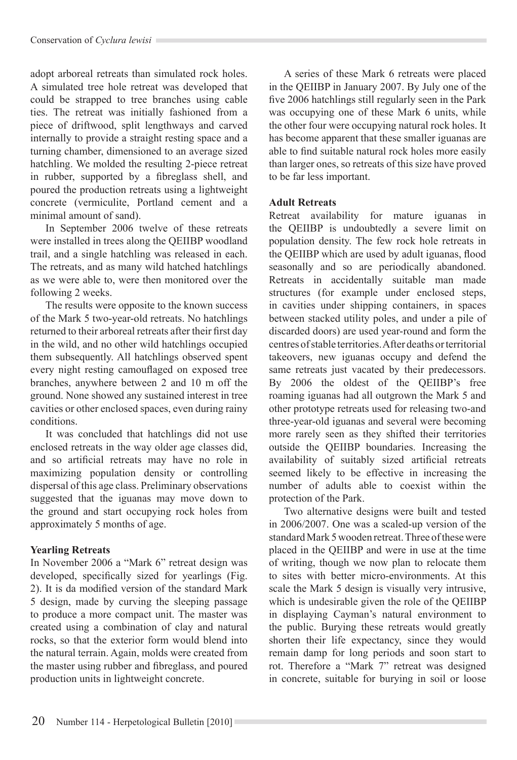adopt arboreal retreats than simulated rock holes. A simulated tree hole retreat was developed that could be strapped to tree branches using cable ties. The retreat was initially fashioned from a piece of driftwood, split lengthways and carved internally to provide a straight resting space and a turning chamber, dimensioned to an average sized hatchling. We molded the resulting 2-piece retreat in rubber, supported by a fibreglass shell, and poured the production retreats using a lightweight concrete (vermiculite, Portland cement and a minimal amount of sand).

In September 2006 twelve of these retreats were installed in trees along the QEIIBP woodland trail, and a single hatchling was released in each. The retreats, and as many wild hatched hatchlings as we were able to, were then monitored over the following 2 weeks.

The results were opposite to the known success of the Mark 5 two-year-old retreats. No hatchlings returned to their arboreal retreats after their first day in the wild, and no other wild hatchlings occupied them subsequently. All hatchlings observed spent every night resting camouflaged on exposed tree branches, anywhere between 2 and 10 m off the ground. None showed any sustained interest in tree cavities or other enclosed spaces, even during rainy conditions.

It was concluded that hatchlings did not use enclosed retreats in the way older age classes did, and so artificial retreats may have no role in maximizing population density or controlling dispersal of this age class. Preliminary observations suggested that the iguanas may move down to the ground and start occupying rock holes from approximately 5 months of age.

## **Yearling Retreats**

In November 2006 a "Mark 6" retreat design was developed, specifically sized for yearlings (Fig. 2). It is da modified version of the standard Mark 5 design, made by curving the sleeping passage to produce a more compact unit. The master was created using a combination of clay and natural rocks, so that the exterior form would blend into the natural terrain. Again, molds were created from the master using rubber and fibreglass, and poured production units in lightweight concrete.

A series of these Mark 6 retreats were placed in the QEIIBP in January 2007. By July one of the five 2006 hatchlings still regularly seen in the Park was occupying one of these Mark 6 units, while the other four were occupying natural rock holes. It has become apparent that these smaller iguanas are able to find suitable natural rock holes more easily than larger ones, so retreats of this size have proved to be far less important.

### **Adult Retreats**

Retreat availability for mature iguanas in the QEIIBP is undoubtedly a severe limit on population density. The few rock hole retreats in the QEIIBP which are used by adult iguanas, flood seasonally and so are periodically abandoned. Retreats in accidentally suitable man made structures (for example under enclosed steps, in cavities under shipping containers, in spaces between stacked utility poles, and under a pile of discarded doors) are used year-round and form the centres of stable territories. After deaths or territorial takeovers, new iguanas occupy and defend the same retreats just vacated by their predecessors. By 2006 the oldest of the QEIIBP's free roaming iguanas had all outgrown the Mark 5 and other prototype retreats used for releasing two-and three-year-old iguanas and several were becoming more rarely seen as they shifted their territories outside the QEIIBP boundaries. Increasing the availability of suitably sized artificial retreats seemed likely to be effective in increasing the number of adults able to coexist within the protection of the Park.

Two alternative designs were built and tested in 2006/2007. One was a scaled-up version of the standard Mark 5 wooden retreat. Three of these were placed in the QEIIBP and were in use at the time of writing, though we now plan to relocate them to sites with better micro-environments. At this scale the Mark 5 design is visually very intrusive, which is undesirable given the role of the QEIIBP in displaying Cayman's natural environment to the public. Burying these retreats would greatly shorten their life expectancy, since they would remain damp for long periods and soon start to rot. Therefore a "Mark 7" retreat was designed in concrete, suitable for burying in soil or loose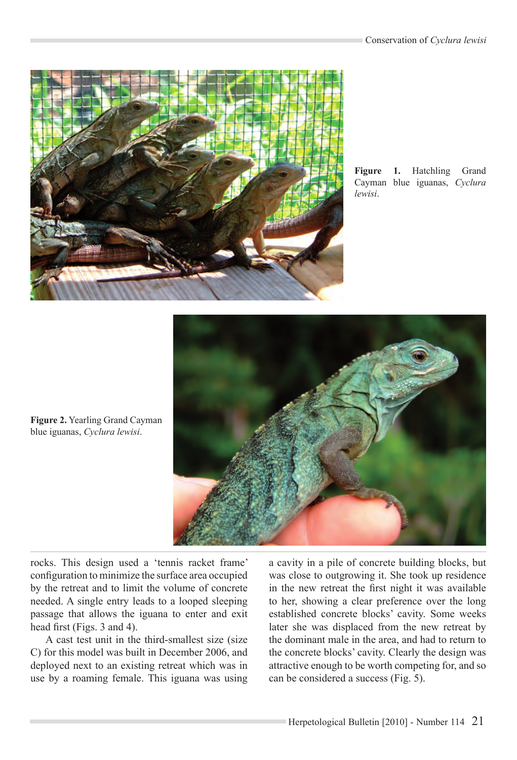

**Figure 1.** Hatchling Grand Cayman blue iguanas, *Cyclura lewisi*.



**Figure 2.** Yearling Grand Cayman blue iguanas, *Cyclura lewisi*.

rocks. This design used a 'tennis racket frame' configuration to minimize the surface area occupied by the retreat and to limit the volume of concrete needed. A single entry leads to a looped sleeping passage that allows the iguana to enter and exit head first (Figs. 3 and 4).

A cast test unit in the third-smallest size (size C) for this model was built in December 2006, and deployed next to an existing retreat which was in use by a roaming female. This iguana was using a cavity in a pile of concrete building blocks, but was close to outgrowing it. She took up residence in the new retreat the first night it was available to her, showing a clear preference over the long established concrete blocks' cavity. Some weeks later she was displaced from the new retreat by the dominant male in the area, and had to return to the concrete blocks' cavity. Clearly the design was attractive enough to be worth competing for, and so can be considered a success (Fig. 5).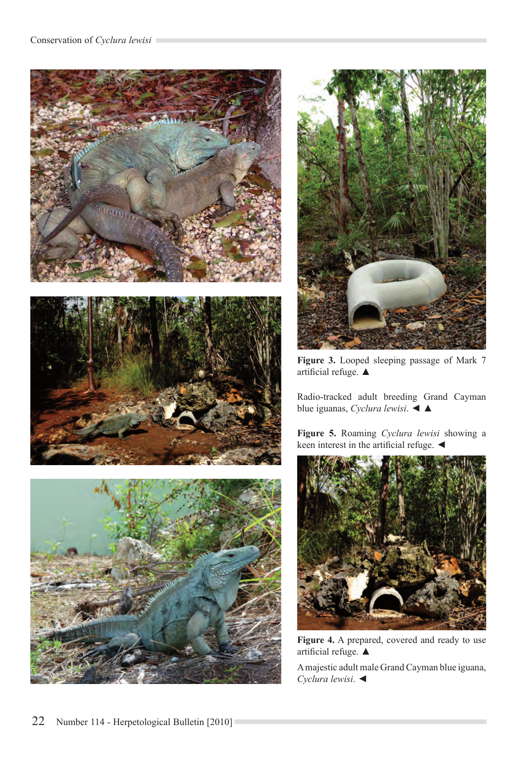





**Figure 3.** Looped sleeping passage of Mark 7 artificial refuge. ▲

Radio-tracked adult breeding Grand Cayman blue iguanas, *Cyclura lewisi*. ◄ ▲

**Figure 5.** Roaming *Cyclura lewisi* showing a keen interest in the artificial refuge. ◄



**Figure 4.** A prepared, covered and ready to use artificial refuge. ▲

A majestic adult male Grand Cayman blue iguana, *Cyclura lewisi*. ◄